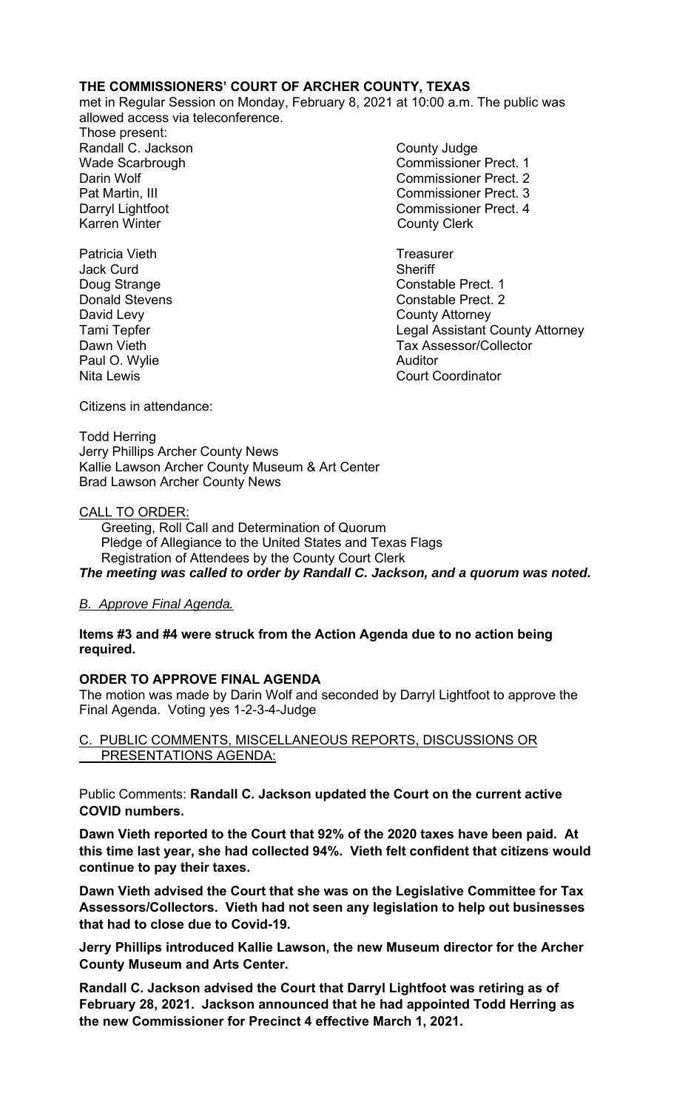### **THE COMMISSIONERS' COURT OF ARCHER COUNTY, TEXAS**

met in Regular Session on Monday, February 8, 2021 at 10:00 a.m. The public was allowed access via teleconference.

Those present: Randall C. Jackson County Judge Karren Winter **County Clerk** 

Patricia Vieth **Treasurer** Controllering and Treasurer Jack Curd **Sheriff** David Levy **County Attorney** Paul O. Wylie **Auditor** Auditor

Wade Scarbrough Commissioner Prect. 1 Darin Wolf Commissioner Prect. 2 Pat Martin, III Commissioner Prect. 3 Darryl Lightfoot **Commissioner Prect. 4** 

Doug Strange Constable Prect. 1 **Donald Stevens Constable Prect. 2** Tami Tepfer **Legal Assistant County Attorney** Dawn Vieth **Tax Assessor/Collector** Nita Lewis **Nita Lewis** Court Coordinator

Citizens in attendance:

Todd Herring Jerry Phillips Archer County News Kallie Lawson Archer County Museum & Art Center Brad Lawson Archer County News

### CALL TO ORDER:

 Greeting, Roll Call and Determination of Quorum Pledge of Allegiance to the United States and Texas Flags Registration of Attendees by the County Court Clerk *The meeting was called to order by Randall C. Jackson, and a quorum was noted.* 

## *B. Approve Final Agenda.*

### **Items #3 and #4 were struck from the Action Agenda due to no action being required.**

## **ORDER TO APPROVE FINAL AGENDA**

The motion was made by Darin Wolf and seconded by Darryl Lightfoot to approve the Final Agenda. Voting yes 1-2-3-4-Judge

### C. PUBLIC COMMENTS, MISCELLANEOUS REPORTS, DISCUSSIONS OR PRESENTATIONS AGENDA:

Public Comments: **Randall C. Jackson updated the Court on the current active COVID numbers.** 

**Dawn Vieth reported to the Court that 92% of the 2020 taxes have been paid. At this time last year, she had collected 94%. Vieth felt confident that citizens would continue to pay their taxes.** 

**Dawn Vieth advised the Court that she was on the Legislative Committee for Tax Assessors/Collectors. Vieth had not seen any legislation to help out businesses that had to close due to Covid-19.** 

**Jerry Phillips introduced Kallie Lawson, the new Museum director for the Archer County Museum and Arts Center.** 

**Randall C. Jackson advised the Court that Darryl Lightfoot was retiring as of February 28, 2021. Jackson announced that he had appointed Todd Herring as the new Commissioner for Precinct 4 effective March 1, 2021.**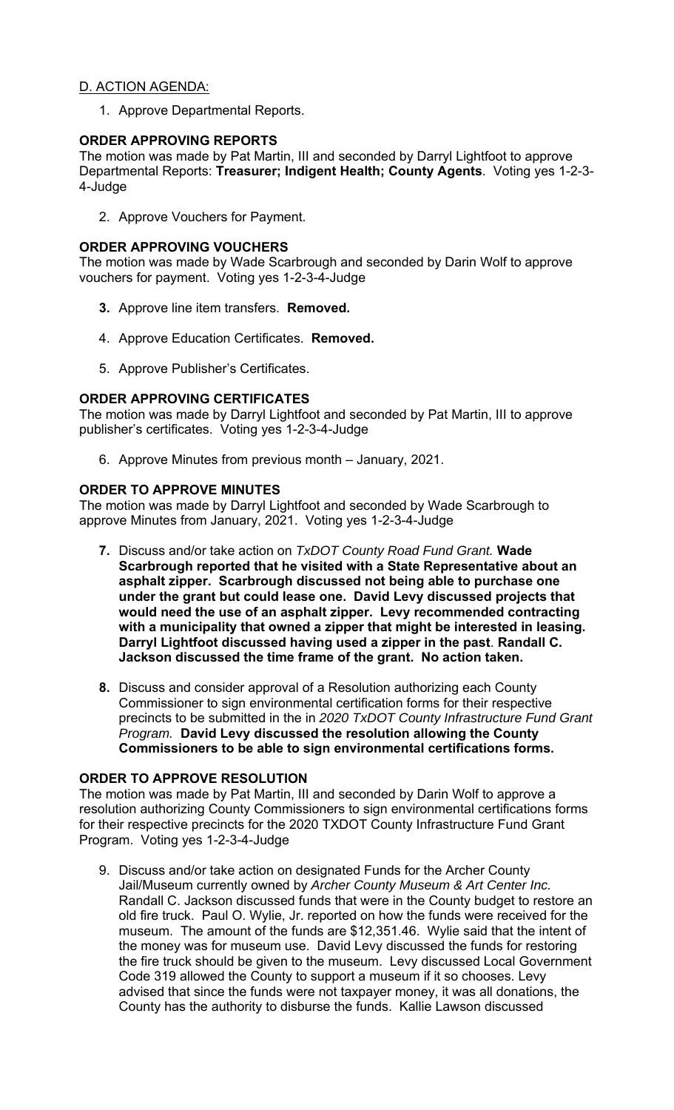# D. ACTION AGENDA:

1. Approve Departmental Reports.

# **ORDER APPROVING REPORTS**

The motion was made by Pat Martin, III and seconded by Darryl Lightfoot to approve Departmental Reports: **Treasurer; Indigent Health; County Agents**. Voting yes 1-2-3- 4-Judge

2. Approve Vouchers for Payment.

# **ORDER APPROVING VOUCHERS**

The motion was made by Wade Scarbrough and seconded by Darin Wolf to approve vouchers for payment. Voting yes 1-2-3-4-Judge

- **3.** Approve line item transfers. **Removed.**
- 4. Approve Education Certificates. **Removed.**
- 5. Approve Publisher's Certificates.

# **ORDER APPROVING CERTIFICATES**

The motion was made by Darryl Lightfoot and seconded by Pat Martin, III to approve publisher's certificates. Voting yes 1-2-3-4-Judge

6. Approve Minutes from previous month – January, 2021.

# **ORDER TO APPROVE MINUTES**

The motion was made by Darryl Lightfoot and seconded by Wade Scarbrough to approve Minutes from January, 2021. Voting yes 1-2-3-4-Judge

- **7.** Discuss and/or take action on *TxDOT County Road Fund Grant.* **Wade Scarbrough reported that he visited with a State Representative about an asphalt zipper. Scarbrough discussed not being able to purchase one under the grant but could lease one. David Levy discussed projects that would need the use of an asphalt zipper. Levy recommended contracting with a municipality that owned a zipper that might be interested in leasing. Darryl Lightfoot discussed having used a zipper in the past**. **Randall C. Jackson discussed the time frame of the grant. No action taken.**
- **8.** Discuss and consider approval of a Resolution authorizing each County Commissioner to sign environmental certification forms for their respective precincts to be submitted in the in *2020 TxDOT County Infrastructure Fund Grant Program.* **David Levy discussed the resolution allowing the County Commissioners to be able to sign environmental certifications forms.**

## **ORDER TO APPROVE RESOLUTION**

The motion was made by Pat Martin, III and seconded by Darin Wolf to approve a resolution authorizing County Commissioners to sign environmental certifications forms for their respective precincts for the 2020 TXDOT County Infrastructure Fund Grant Program. Voting yes 1-2-3-4-Judge

9. Discuss and/or take action on designated Funds for the Archer County Jail/Museum currently owned by *Archer County Museum & Art Center Inc.* Randall C. Jackson discussed funds that were in the County budget to restore an old fire truck. Paul O. Wylie, Jr. reported on how the funds were received for the museum. The amount of the funds are \$12,351.46. Wylie said that the intent of the money was for museum use. David Levy discussed the funds for restoring the fire truck should be given to the museum. Levy discussed Local Government Code 319 allowed the County to support a museum if it so chooses. Levy advised that since the funds were not taxpayer money, it was all donations, the County has the authority to disburse the funds. Kallie Lawson discussed